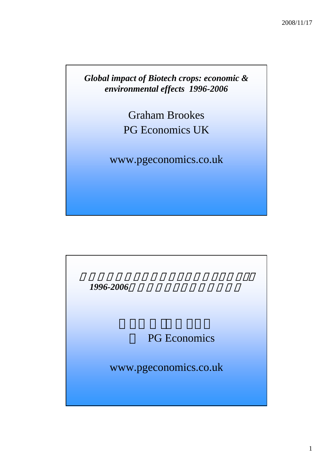*Global impact of Biotech crops: economic & environmental effects 1996-2006*

> Graham Brookes PG Economics UK

www.pgeconomics.co.uk

*1996-2006*年の経済および環境への効果

PG Economics

www.pgeconomics.co.uk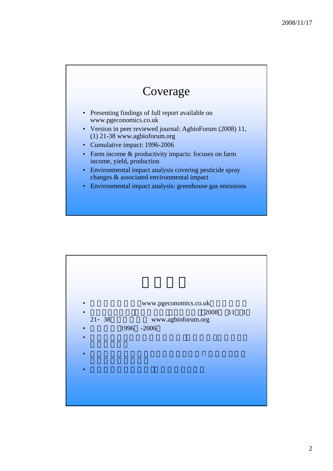## Coverage

- Presenting findings of full report available on www.pgeconomics.co.uk
- Version in peer reviewed journal: AgbioForum (2008) 11, (1) 21-38 www.agbioforum.org
- Cumulative impact: 1996-2006
- Farm income & productivity impacts: focuses on farm income, yield, production
- Environmental impact analysis covering pesticide spray changes & associated environmental impact
- Environmental impact analysis: greenhouse gas emissions

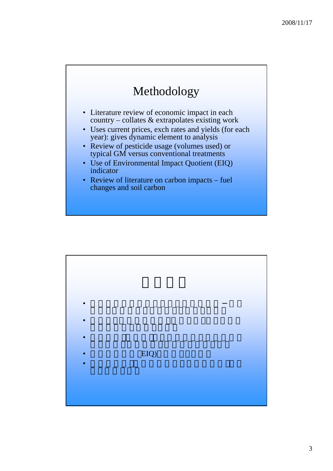## Methodology

- Literature review of economic impact in each country – collates & extrapolates existing work
- Uses current prices, exch rates and yields (for each year): gives dynamic element to analysis
- Review of pesticide usage (volumes used) or typical GM versus conventional treatments
- Use of Environmental Impact Quotient (EIQ) indicator
- Review of literature on carbon impacts fuel changes and soil carbon

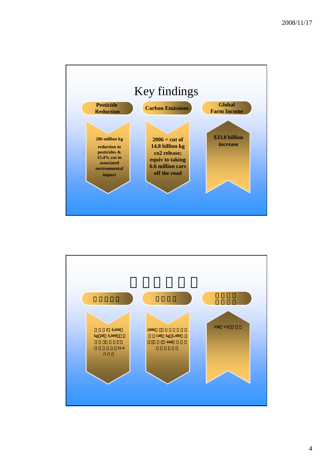

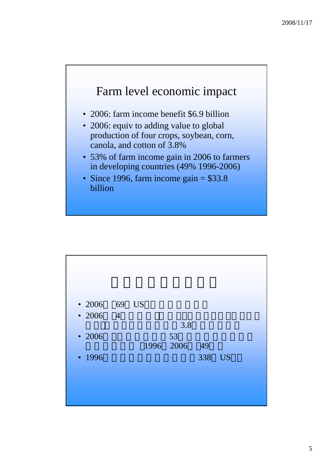### Farm level economic impact

- 2006: farm income benefit \$6.9 billion
- 2006: equiv to adding value to global production of four crops, soybean, corn, canola, and cotton of 3.8%
- 53% of farm income gain in 2006 to farmers in developing countries (49% 1996-2006)
- Since 1996, farm income gain  $=$  \$33.8 billion

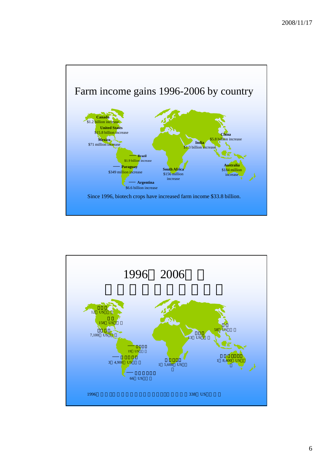

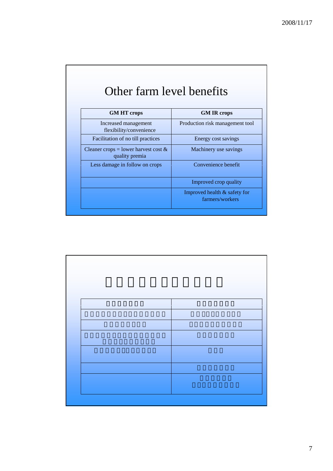## Other farm level benefits

| <b>GM IR crops</b>                                |
|---------------------------------------------------|
| Production risk management tool                   |
| Energy cost savings                               |
| Machinery use savings                             |
| Convenience benefit                               |
| Improved crop quality                             |
| Improved health $&$ safety for<br>farmers/workers |
|                                                   |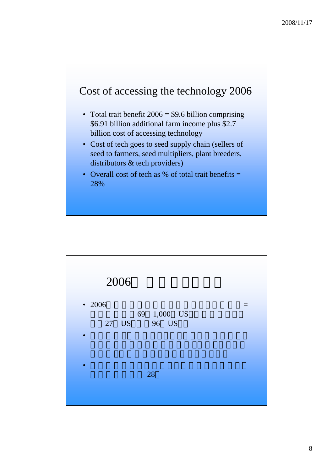#### Cost of accessing the technology 2006

- Total trait benefit  $2006 = $9.6$  billion comprising \$6.91 billion additional farm income plus \$2.7 billion cost of accessing technology
- Cost of tech goes to seed supply chain (sellers of seed to farmers, seed multipliers, plant breeders, distributors  $&$  tech providers)
- Overall cost of tech as % of total trait benefits  $=$ 28%

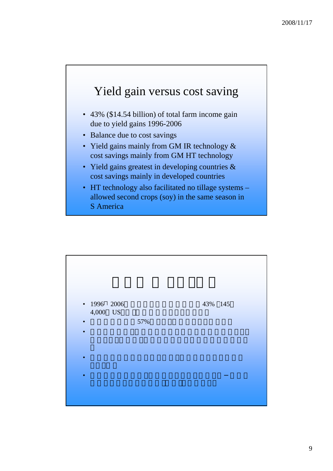

- 43% (\$14.54 billion) of total farm income gain due to yield gains 1996-2006
- Balance due to cost savings
- Yield gains mainly from GM IR technology  $\&$ cost savings mainly from GM HT technology
- Yield gains greatest in developing countries  $\&$ cost savings mainly in developed countries
- HT technology also facilitated no tillage systems allowed second crops (soy) in the same season in S America

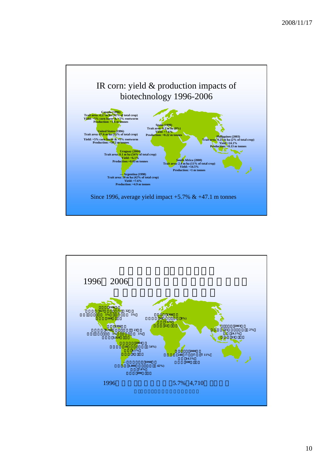

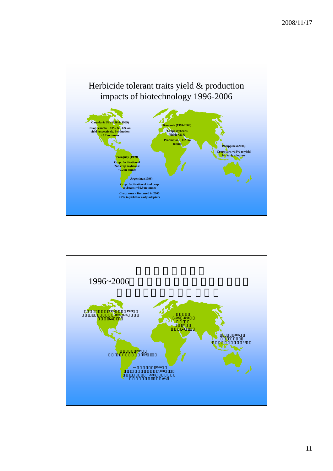

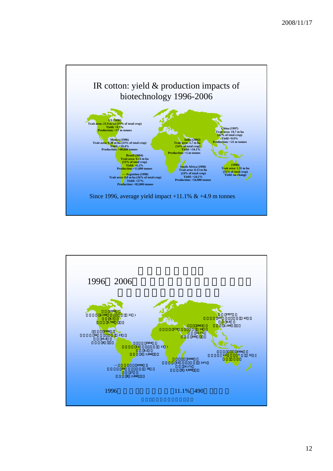

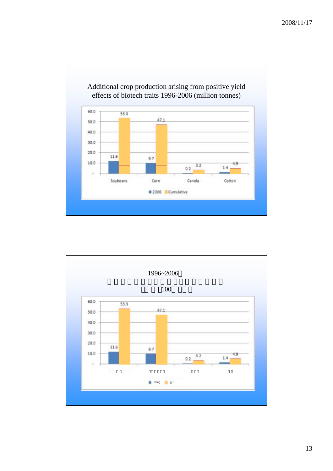

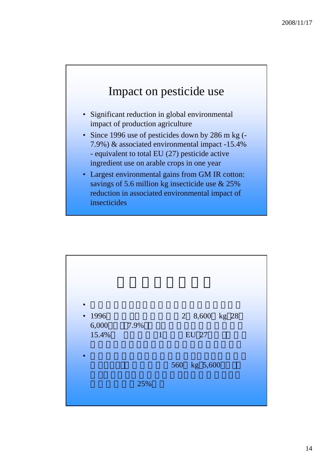## Impact on pesticide use

- Significant reduction in global environmental impact of production agriculture
- Since 1996 use of pesticides down by 286 m kg (-7.9%) & associated environmental impact -15.4% - equivalent to total EU (27) pesticide active ingredient use on arable crops in one year
- Largest environmental gains from GM IR cotton: savings of 5.6 million kg insecticide use & 25% reduction in associated environmental impact of insecticides

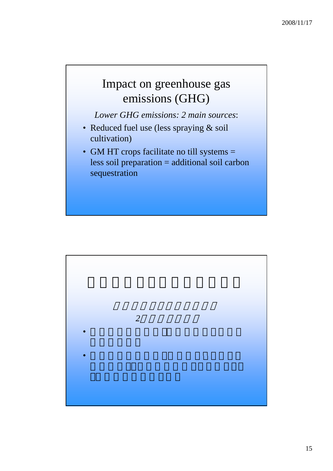## Impact on greenhouse gas emissions (GHG)

*Lower GHG emissions: 2 main sources Lower GHG emissions: 2 main* :

- Reduced fuel use (less spraying & soil cultivation)
- GM HT crops facilitate no till systems = less soil preparation  $=$  additional soil carbon sequestration

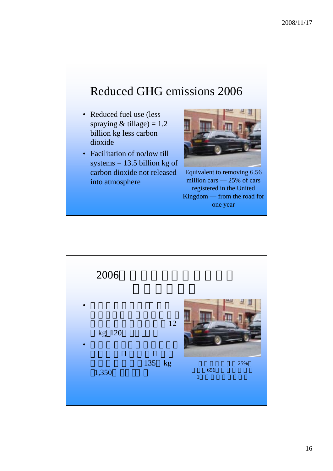## Reduced GHG emissions 2006

- Reduced fuel use (less spraying  $&$  tillage) = 1.2 billion kg less carbon dioxide
- Facilitation of no/low till systems  $= 13.5$  billion kg of carbon dioxide not released into atmosphere



Equivalent to removing 6.56 million cars — 25% of cars registered in the United Kingdom — from the road for one year

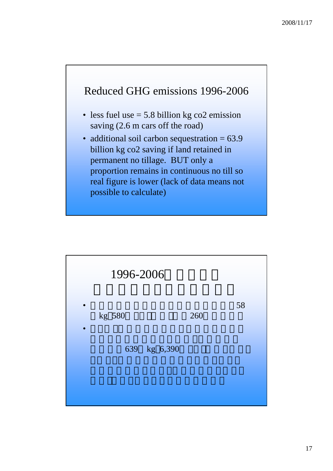#### Reduced GHG emissions 1996-2006

- less fuel use  $= 5.8$  billion kg co2 emission saving (2.6 m cars off the road)
- additional soil carbon sequestration = 63.9 billion kg co2 saving if land retained in permanent no tillage. BUT only a proportion remains in continuous no till so real figure is lower (lack of data means not possible to calculate)

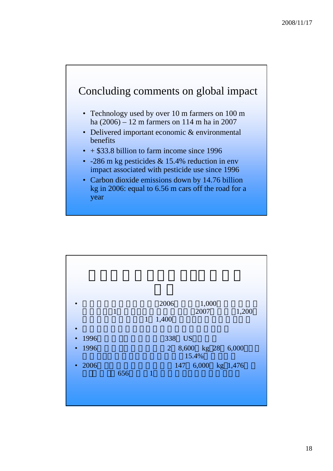#### Concluding comments on global impact

- Technology used by over 10 m farmers on  $100 \text{ m}$ ha (2006) – 12 m farmers on 114 m ha in 2007
- Delivered important economic & environmental benefits
- $\cdot$  + \$33.8 billion to farm income since 1996
- -286 m kg pesticides & 15.4% reduction in env impact associated with pesticide use since 1996
- Carbon dioxide emissions down by 14.76 billion kg in 2006: equal to 6.56 m cars off the road for a year

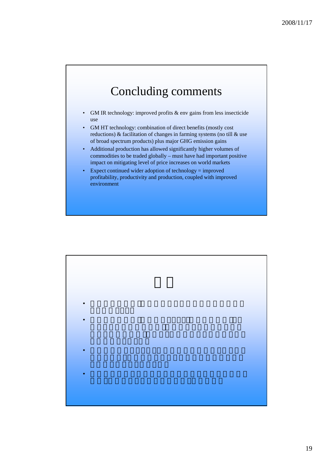### Concluding comments

- GM IR technology: improved profits  $&$  env gains from less insecticide use
- GM HT technology: combination of direct benefits (mostly cost reductions) & facilitation of changes in farming systems (no till & use of broad spectrum products) plus major GHG emission gains
- Additional production has allowed significantly higher volumes of commodities to be traded globally – must have had important positive impact on mitigating level of price increases on world markets
- Expect continued wider adoption of technology = improved profitability, productivity and production, coupled with improved environment

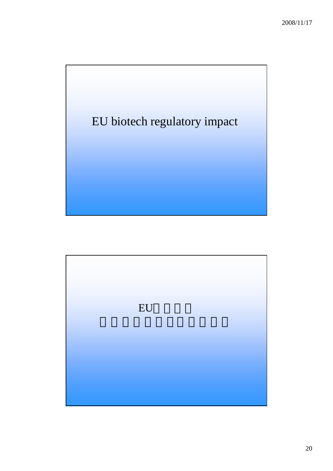

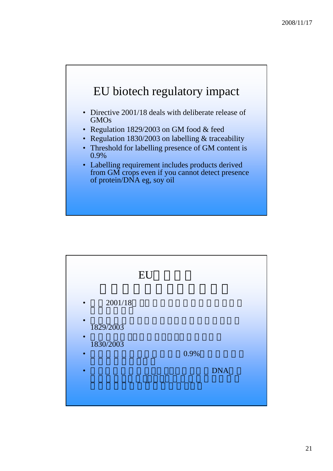

- Directive  $2001/18$  deals with deliberate release of GMOs
- Regulation 1829/2003 on GM food & feed
- Regulation 1830/2003 on labelling & traceability
- Threshold for labelling presence of GM content is 0.9%
- Labelling requirement includes products derived from GM crops even if you cannot detect presence of protein/DNA eg, soy oil

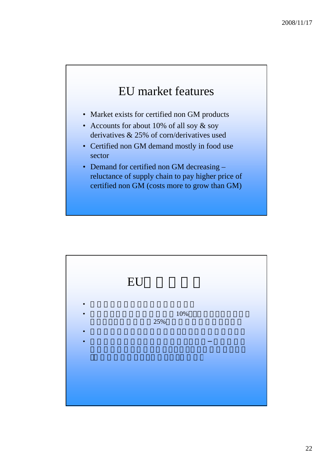## EU market features

- Market exists for certified non GM products
- Accounts for about 10% of all soy & soy derivatives & 25% of corn/derivatives used
- Certified non GM demand mostly in food use sector
- Demand for certified non GM decreasing  $$ reluctance of supply chain to pay higher price of certified non GM (costs more to grow than GM)

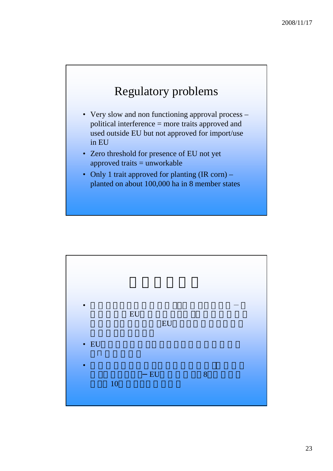## Regulatory problems

- Very slow and non functioning approval process  $$ political interference = more traits approved and used outside EU but not approved for import/use in EU
- Zero threshold for presence of EU not yet approved traits  $=$  unworkable
- Only 1 trait approved for planting (IR corn) planted on about 100,000 ha in 8 member states

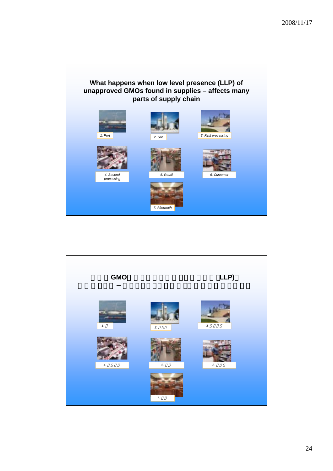

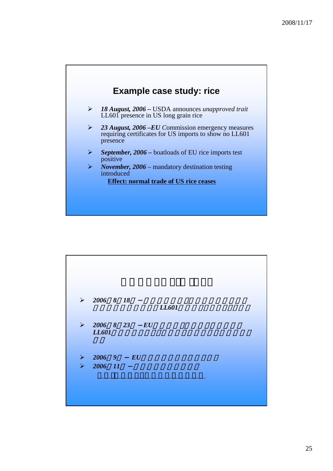

|                       | $\triangleright$ 2006 8 18 |    |     | LL601 |  |
|-----------------------|----------------------------|----|-----|-------|--|
| $\blacktriangleright$ | 2006 8 23<br>LL601         |    | E U |       |  |
| $\blacktriangleright$ | 2006 9                     | EU |     |       |  |
| $\blacktriangleright$ | 2006 11                    |    |     |       |  |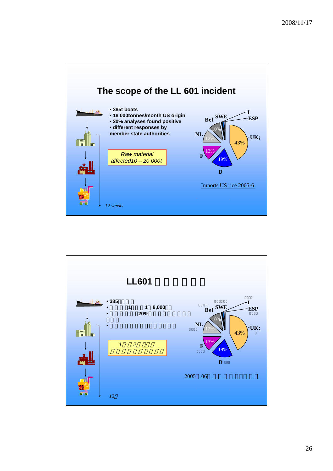

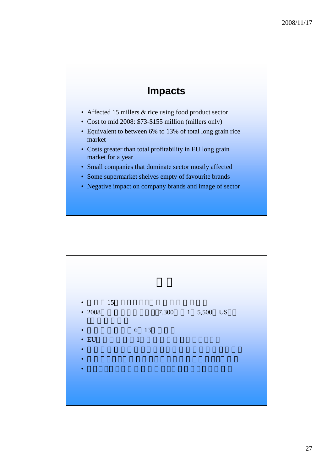#### **Impacts**

- Affected 15 millers & rice using food product sector
- Cost to mid 2008: \$73-\$155 million (millers only)
- Equivalent to between 6% to 13% of total long grain rice market
- Costs greater than total profitability in EU long grain market for a year
- Small companies that dominate sector mostly affected
- Some supermarket shelves empty of favourite brands
- Negative impact on company brands and image of sector

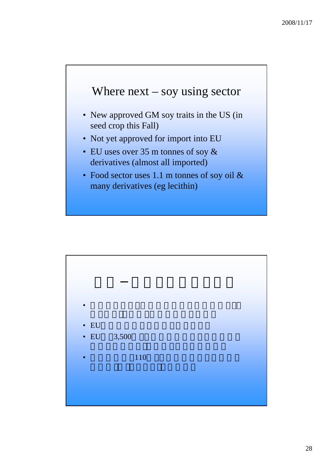### Where  $next - soy$  using sector

- New approved GM soy traits in the US (in) seed crop this Fall)
- Not yet approved for import into EU
- EU uses over 35 m tonnes of soy  $&$ derivatives (almost all imported)
- Food sector uses 1.1 m tonnes of soy oil & many derivatives (eg lecithin)

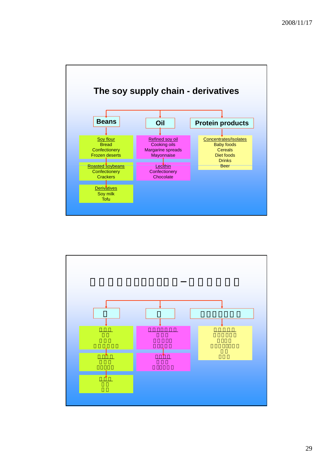

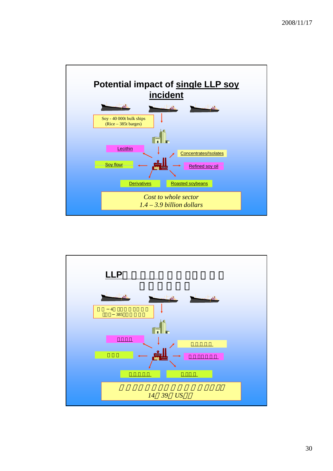

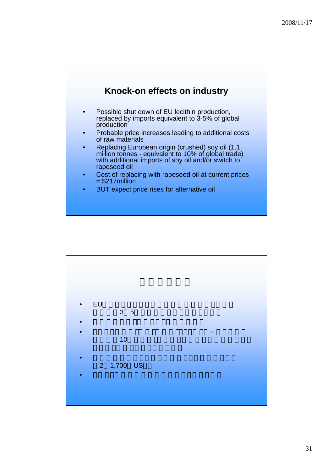

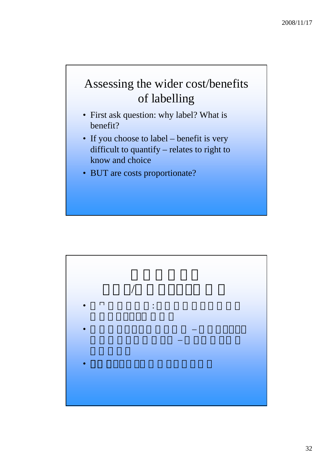# Assessing the wider cost/benefits of labelling

- First ask question: why label? What is benefit?
- If you choose to label benefit is very difficult to quantify – relates to right to know and choice
- BUT are costs proportionate?

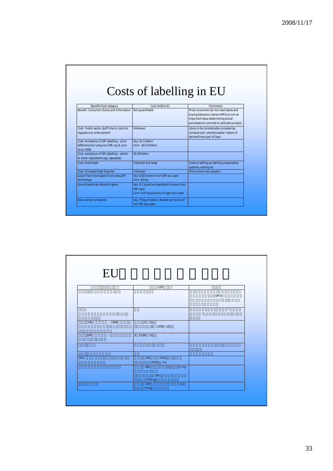# Costs of labelling in EU

| Benefit/Cost category                                                                           | Cost (million \$)                                                                                       | Comments                                                                                                                                                            |
|-------------------------------------------------------------------------------------------------|---------------------------------------------------------------------------------------------------------|---------------------------------------------------------------------------------------------------------------------------------------------------------------------|
| Benefit: Consumer choice and information                                                        | Not quantifiable                                                                                        | Most consumers do not read labels and<br>buying behaviour shows GMOs is not an<br>important issue determining actual<br>purchases (in contrast to attitude surveys) |
| Cost: Public sector staff time & costs for<br>regulators & enforcement                          | Unknown                                                                                                 | Likely to be considerable considering<br>complex and 'unenforceable' nature of<br>derived from part of laws                                                         |
| Cost: Avoidance of GM labelling - price<br>difference for using non GM soy & corn<br>since 1998 | Soy: \$1.5 billion<br>Corn: \$0.23 billion                                                              |                                                                                                                                                                     |
| Cost: avoidance of GM labelling - switch<br>to other ingredients (eg, rapeseed)                 | \$0.38 billion                                                                                          |                                                                                                                                                                     |
| Cost: Overheads                                                                                 | Unknown but large                                                                                       | Costs of setting up identity preservation<br>systems, testing etc                                                                                                   |
| Cost: increased legal disputes                                                                  | Unknown                                                                                                 | Only winners are lawyers                                                                                                                                            |
| Loss of farm level gains from using GM<br>technology                                            | Soy: \$15/tonne of non GM soy used<br>Corn: \$5/ha                                                      |                                                                                                                                                                     |
| Loss of pesticide reduction gains                                                               | Soy: 0.1 kg active ingredient/tonne of non<br><b>GM</b> used<br>Corn: 0.05 kg ai/tonne of ngm corn used |                                                                                                                                                                     |
| Extra carbon emissions                                                                          | Soy: 79 kg of carbon dioxide per tonne of<br>non GM soy used                                            |                                                                                                                                                                     |

| EU                   |                                     |                   |
|----------------------|-------------------------------------|-------------------|
|                      |                                     |                   |
| $\prime$             | (100)                               |                   |
| $\ddot{\phantom{a}}$ |                                     | GMO               |
| ÷                    |                                     | $\pmb{u}$         |
|                      |                                     | $^{\prime\prime}$ |
| GM<br>$-1998$        | $15$ US<br>2 3,000 US               |                   |
| GM<br>$\equiv$       | 3 8,000 US                          |                   |
|                      |                                     |                   |
| GM                   | $15US$ /<br><b>GM</b><br>5US<br>/ha |                   |
|                      | GM<br>$\sim$ 1<br>0.1 kg            |                   |
|                      | GM<br>$0.05$ kg                     |                   |
|                      | ${\sf GM}$<br>$\mathbf{1}$<br>79 kg |                   |